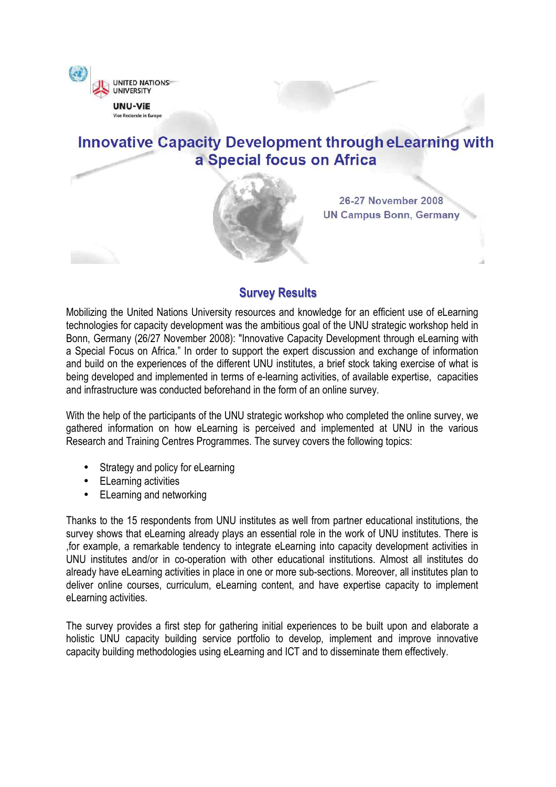

# **Innovative Capacity Development through eLearning with** a Special focus on Africa



26-27 November 2008 **UN Campus Bonn, Germany** 

# **Survey Results**

Mobilizing the United Nations University resources and knowledge for an efficient use of eLearning technologies for capacity development was the ambitious goal of the UNU strategic workshop held in Bonn, Germany (26/27 November 2008): "Innovative Capacity Development through eLearning with a Special Focus on Africa." In order to support the expert discussion and exchange of information and build on the experiences of the different UNU institutes, a brief stock taking exercise of what is being developed and implemented in terms of e-learning activities, of available expertise, capacities and infrastructure was conducted beforehand in the form of an online survey.

With the help of the participants of the UNU strategic workshop who completed the online survey, we gathered information on how eLearning is perceived and implemented at UNU in the various Research and Training Centres Programmes. The survey covers the following topics:

- Strategy and policy for eLearning
- ELearning activities
- ELearning and networking

Thanks to the 15 respondents from UNU institutes as well from partner educational institutions, the survey shows that eLearning already plays an essential role in the work of UNU institutes. There is ,for example, a remarkable tendency to integrate eLearning into capacity development activities in UNU institutes and/or in co-operation with other educational institutions. Almost all institutes do already have eLearning activities in place in one or more sub-sections. Moreover, all institutes plan to deliver online courses, curriculum, eLearning content, and have expertise capacity to implement eLearning activities.

The survey provides a first step for gathering initial experiences to be built upon and elaborate a holistic UNU capacity building service portfolio to develop, implement and improve innovative capacity building methodologies using eLearning and ICT and to disseminate them effectively.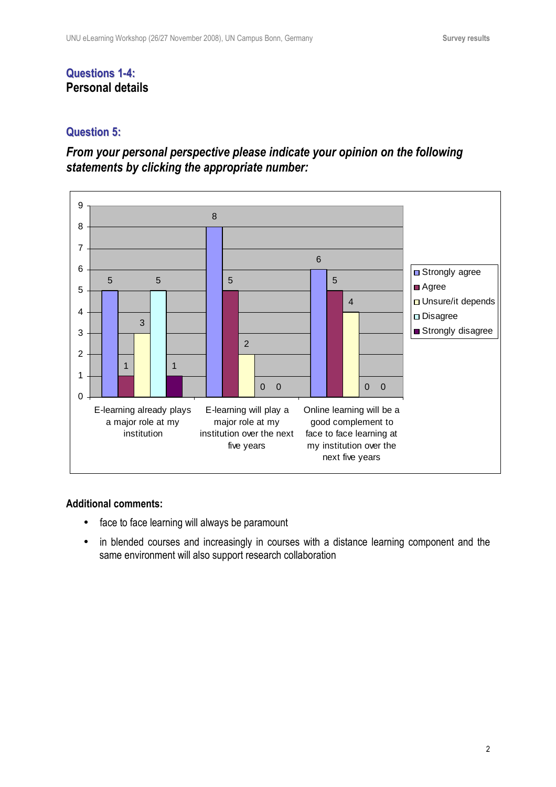## **Questions 1-4: Personal details**

#### **Question 5:**

# *From your personal perspective please indicate your opinion on the following statements by clicking the appropriate number:*



- face to face learning will always be paramount
- in blended courses and increasingly in courses with a distance learning component and the same environment will also support research collaboration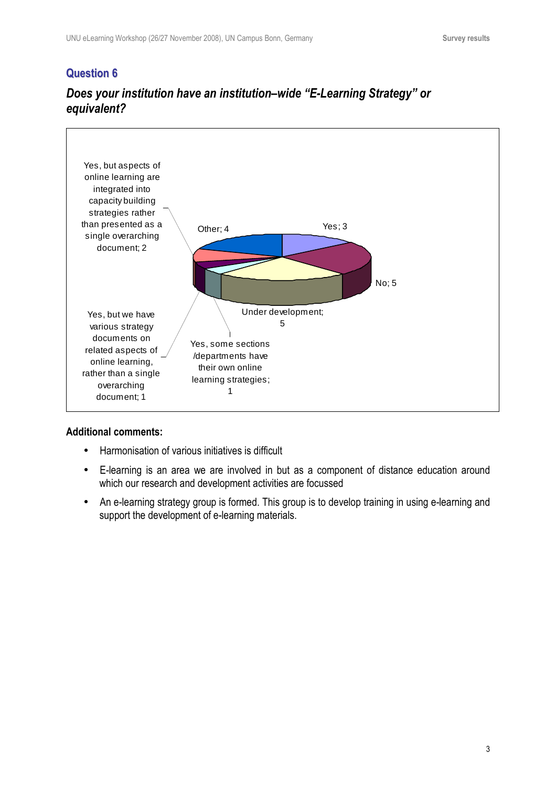

# *Does your institution have an institution–wide "E-Learning Strategy" or equivalent?*

- Harmonisation of various initiatives is difficult
- E-learning is an area we are involved in but as a component of distance education around which our research and development activities are focussed
- An e-learning strategy group is formed. This group is to develop training in using e-learning and support the development of e-learning materials.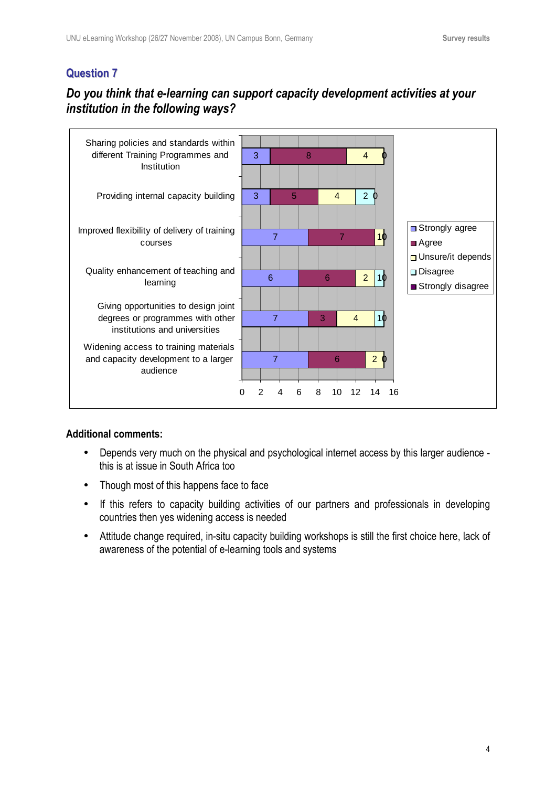# *Do you think that e-learning can support capacity development activities at your institution in the following ways?*



- Depends very much on the physical and psychological internet access by this larger audience this is at issue in South Africa too
- Though most of this happens face to face
- If this refers to capacity building activities of our partners and professionals in developing countries then yes widening access is needed
- Attitude change required, in-situ capacity building workshops is still the first choice here, lack of awareness of the potential of e-learning tools and systems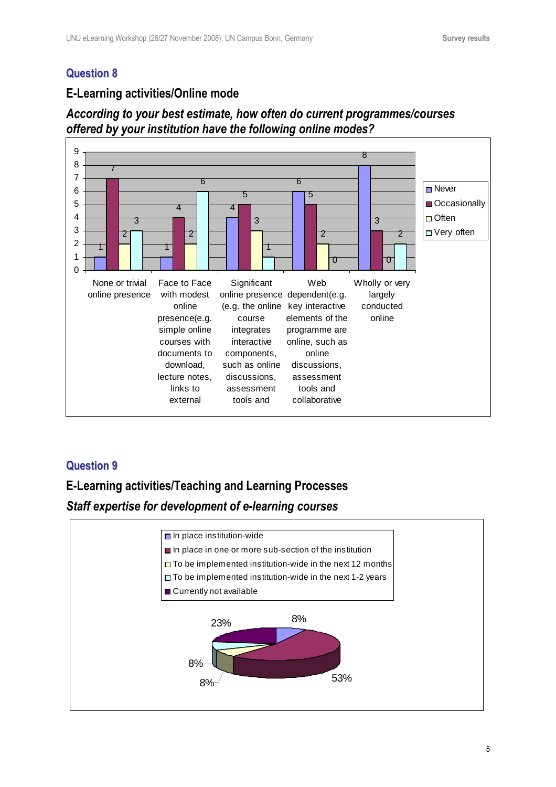#### **E-Learning activities/Online mode**

# *According to your best estimate, how often do current programmes/courses offered by your institution have the following online modes?*



#### **Question 9**

# **E-Learning activities/Teaching and Learning Processes**  *Staff expertise for development of e-learning courses*

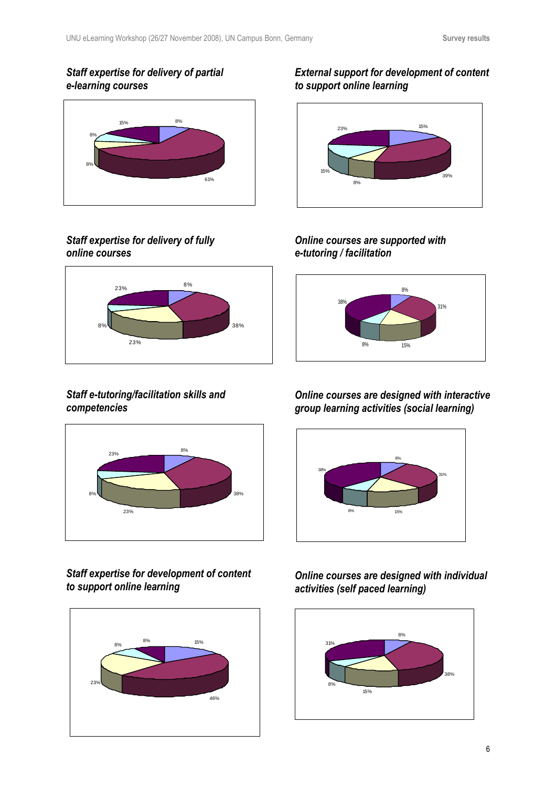#### *Staff expertise for delivery of partial e-learning courses*



# *Staff expertise for delivery of fully online courses*



#### *Staff e-tutoring/facilitation skills and competencies*



*Staff expertise for development of content to support online learning* 



## *External support for development of content to support online learning*



# *Online courses are supported with e-tutoring / facilitation*



## *Online courses are designed with interactive group learning activities (social learning)*



# *Online courses are designed with individual activities (self paced learning)*

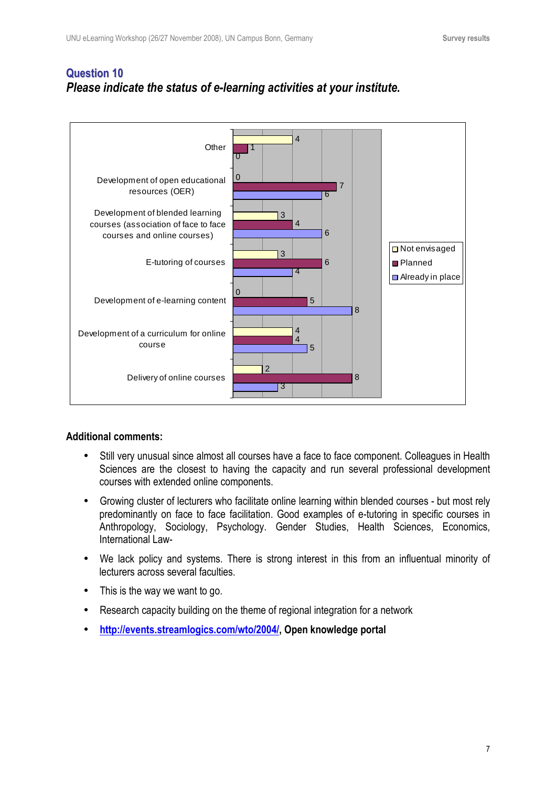# **Question 10** *Please indicate the status of e-learning activities at your institute.*



- Still very unusual since almost all courses have a face to face component. Colleagues in Health Sciences are the closest to having the capacity and run several professional development courses with extended online components.
- Growing cluster of lecturers who facilitate online learning within blended courses but most rely predominantly on face to face facilitation. Good examples of e-tutoring in specific courses in Anthropology, Sociology, Psychology. Gender Studies, Health Sciences, Economics, International Law-
- We lack policy and systems. There is strong interest in this from an influentual minority of lecturers across several faculties.
- This is the way we want to go.
- Research capacity building on the theme of regional integration for a network
- **http://events.streamlogics.com/wto/2004/, Open knowledge portal**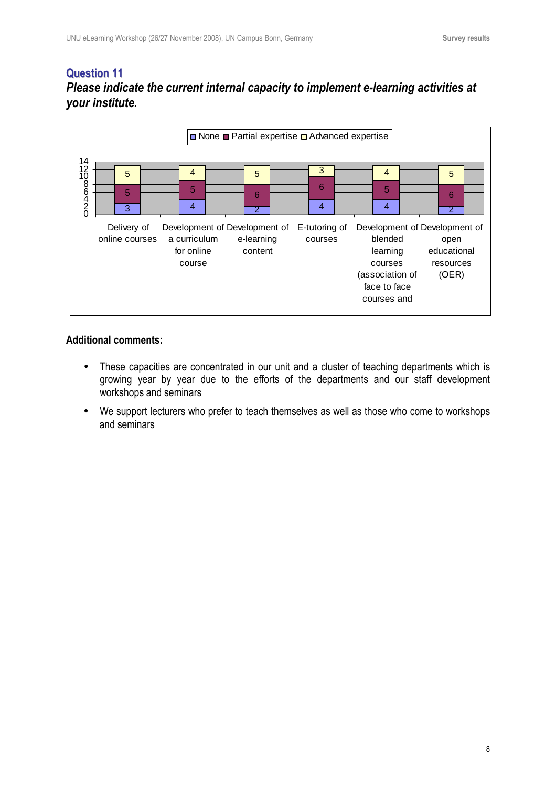## **Question 11** *Please indicate the current internal capacity to implement e-learning activities at your institute.*



- These capacities are concentrated in our unit and a cluster of teaching departments which is growing year by year due to the efforts of the departments and our staff development workshops and seminars
- We support lecturers who prefer to teach themselves as well as those who come to workshops and seminars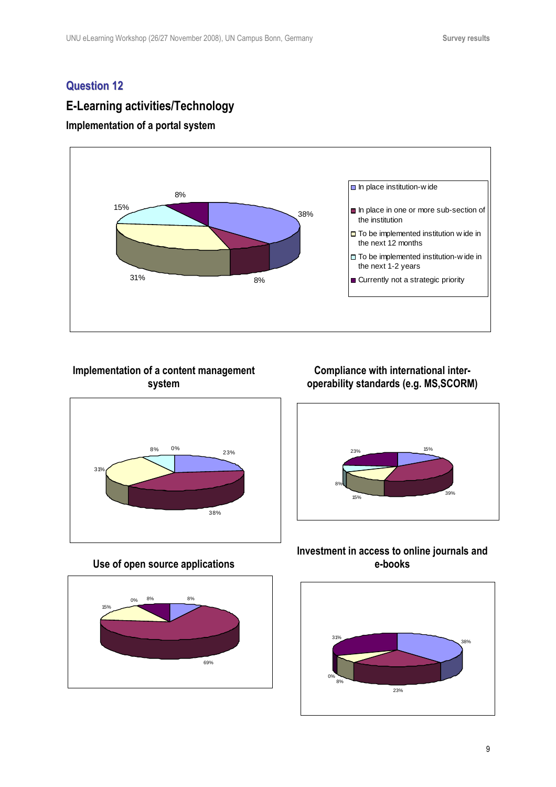# **E-Learning activities/Technology**



#### **Implementation of a content management system**



#### **Use of open source applications**



#### **Compliance with international interoperability standards (e.g. MS,SCORM)**



#### **Investment in access to online journals and e-books**

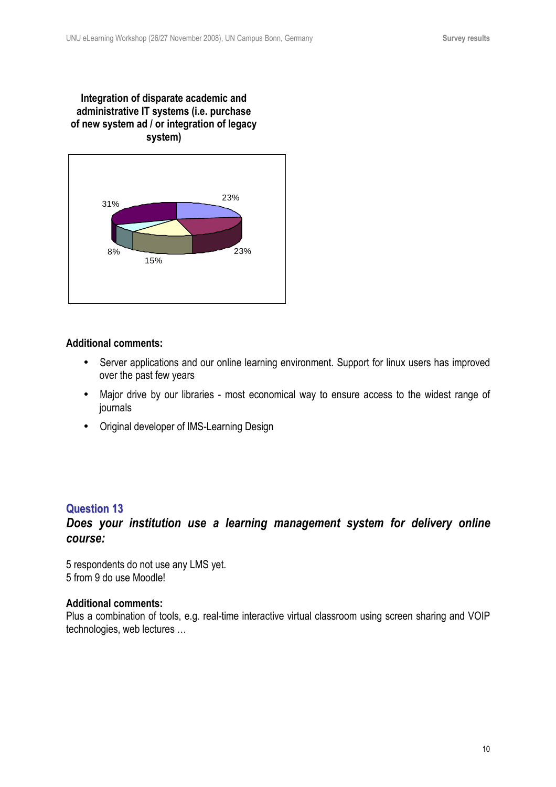#### **Integration of disparate academic and administrative IT systems (i.e. purchase of new system ad / or integration of legacy system)**



#### **Additional comments:**

- Server applications and our online learning environment. Support for linux users has improved over the past few years
- Major drive by our libraries most economical way to ensure access to the widest range of journals
- Original developer of IMS-Learning Design

#### **Question 13**

#### *Does your institution use a learning management system for delivery online course:*

5 respondents do not use any LMS yet. 5 from 9 do use Moodle!

#### **Additional comments:**

Plus a combination of tools, e.g. real-time interactive virtual classroom using screen sharing and VOIP technologies, web lectures …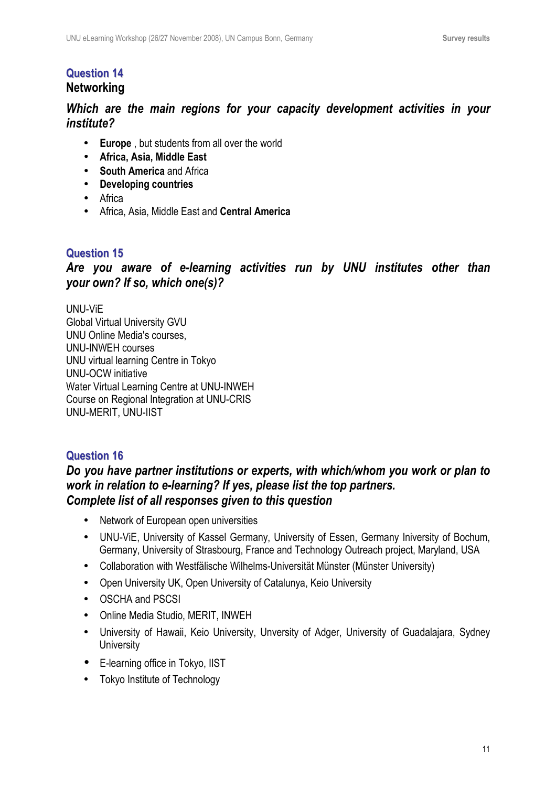# **Question 14 Networking**

# *Which are the main regions for your capacity development activities in your institute?*

- **Europe** , but students from all over the world
- **Africa, Asia, Middle East**
- **South America** and Africa
- **Developing countries**
- Africa
- Africa, Asia, Middle East and **Central America**

# **Question 15**

*Are you aware of e-learning activities run by UNU institutes other than your own? If so, which one(s)?* 

UNU-ViE Global Virtual University GVU UNU Online Media's courses, UNU-INWEH courses UNU virtual learning Centre in Tokyo UNU-OCW initiative Water Virtual Learning Centre at UNU-INWEH Course on Regional Integration at UNU-CRIS UNU-MERIT, UNU-IIST

# **Question 16**

## *Do you have partner institutions or experts, with which/whom you work or plan to work in relation to e-learning? If yes, please list the top partners. Complete list of all responses given to this question*

- Network of European open universities
- UNU-ViE, University of Kassel Germany, University of Essen, Germany Iniversity of Bochum, Germany, University of Strasbourg, France and Technology Outreach project, Maryland, USA
- Collaboration with Westfälische Wilhelms-Universität Münster (Münster University)
- Open University UK, Open University of Catalunya, Keio University
- OSCHA and PSCSI
- Online Media Studio, MERIT, INWEH
- University of Hawaii, Keio University, Unversity of Adger, University of Guadalajara, Sydney **University**
- E-learning office in Tokyo, IIST
- Tokyo Institute of Technology